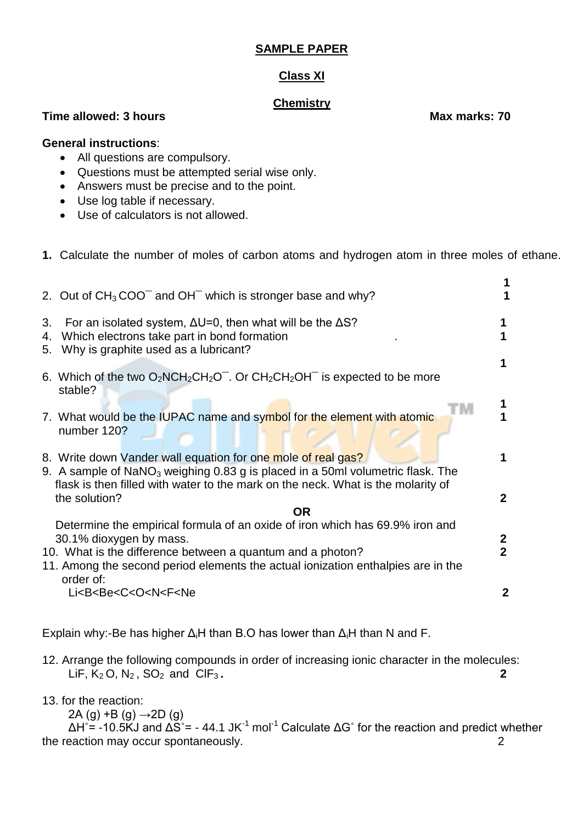## **SAMPLE PAPER**

## **Class XI**

### **Chemistry**

**Time allowed: 3 hours Max marks: 70** 

#### **General instructions**:

- All questions are compulsory.
- Questions must be attempted serial wise only.
- Answers must be precise and to the point.
- Use log table if necessary.
- Use of calculators is not allowed.
- **1.** Calculate the number of moles of carbon atoms and hydrogen atom in three moles of ethane.

|          | 2. Out of $CH3COO-$ and OH <sup>-</sup> which is stronger base and why?                                                                                                                                                                                                |                                |
|----------|------------------------------------------------------------------------------------------------------------------------------------------------------------------------------------------------------------------------------------------------------------------------|--------------------------------|
| 3.<br>4. | For an isolated system, $\Delta U = 0$ , then what will be the $\Delta S$ ?<br>Which electrons take part in bond formation<br>5. Why is graphite used as a lubricant?                                                                                                  | 1                              |
|          | 6. Which of the two $O_2NCH_2CH_2O^-$ . Or $CH_2CH_2OH^-$ is expected to be more<br>stable?<br>7. What would be the IUPAC name and symbol for the element with atomic<br>number 120?                                                                                   |                                |
|          | 8. Write down Vander wall equation for one mole of real gas?<br>9. A sample of $NaNO_3$ weighing 0.83 g is placed in a 50ml volumetric flask. The<br>flask is then filled with water to the mark on the neck. What is the molarity of<br>the solution?                 | 1<br>$\mathbf{2}$              |
|          | <b>OR</b><br>Determine the empirical formula of an oxide of iron which has 69.9% iron and<br>30.1% dioxygen by mass.<br>10. What is the difference between a quantum and a photon?<br>11. Among the second period elements the actual ionization enthalpies are in the | $\mathbf{2}$<br>$\overline{2}$ |
|          | order of:<br>Li <b<be<c<o<n<f<ne< td=""><td>2</td></b<be<c<o<n<f<ne<>                                                                                                                                                                                                  | 2                              |

Explain why:-Be has higher  $\Delta_i H$  than B.O has lower than  $\Delta_i H$  than N and F.

12. Arrange the following compounds in order of increasing ionic character in the molecules: LiF,  $K_2$  O,  $N_2$ ,  $SO_2$  and  $CIF_3$ . **2** 

13. for the reaction:

2A (g) +B (g) →2D (g)

 $\Delta$ H<sup>°</sup> = -10.5KJ and  $\Delta$ S<sup>°</sup> = - 44.1 JK<sup>-1</sup> mol<sup>-1</sup> Calculate  $\Delta$ G<sup>°</sup> for the reaction and predict whether the reaction may occur spontaneously. 2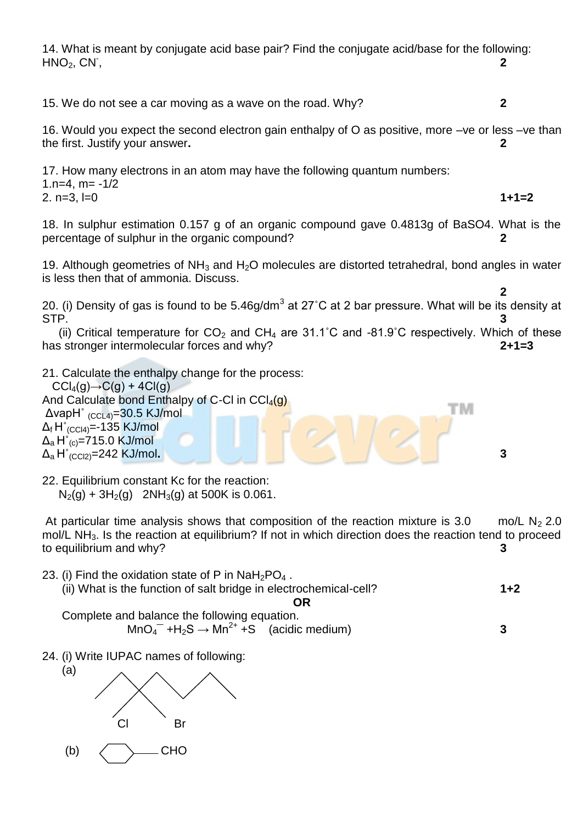14. What is meant by conjugate acid base pair? Find the conjugate acid/base for the following:  $HNO<sub>2</sub>$ ,  $CN<sub>1</sub>$ , , **2** 15. We do not see a car moving as a wave on the road. Why? **2** 16. Would you expect the second electron gain enthalpy of O as positive, more –ve or less –ve than the first. Justify your answer**. 2** 17. How many electrons in an atom may have the following quantum numbers: 1.n=4,  $m = -1/2$ 2. n=3, l=0 **1+1=2** 18. In sulphur estimation 0.157 g of an organic compound gave 0.4813g of BaSO4. What is the percentage of sulphur in the organic compound? **2** 19. Although geometries of NH<sub>3</sub> and H<sub>2</sub>O molecules are distorted tetrahedral, bond angles in water is less then that of ammonia. Discuss.  **2** 20. (i) Density of gas is found to be 5.46g/dm<sup>3</sup> at 27°C at 2 bar pressure. What will be its density at STP. **3** (ii) Critical temperature for  $CO_2$  and  $CH_4$  are 31.1°C and -81.9°C respectively. Which of these has stronger intermolecular forces and why? **2+1=3** 21. Calculate the enthalpy change for the process:  $CCl<sub>4</sub>(g) \rightarrow C(g) + 4Cl(g)$ And Calculate bond Enthalpy of C-Cl in  $\text{CCI}_4(q)$ TМ ΔvapH˚ (CCL4)=30.5 KJ/mol  $\Delta_f H^{\circ}_{(CC|4)} = -135$  KJ/mol  $\Delta$ <sub>a</sub> H<sup>°</sup><sub>(c)</sub>=715.0 KJ/mol Δa H˚(CCl2)=242 KJ/mol**. 3**

22. Equilibrium constant Kc for the reaction:  $N_2(g) + 3H_2(g)$  2NH<sub>3</sub>(g) at 500K is 0.061.

At particular time analysis shows that composition of the reaction mixture is 3.0 mo/L N<sub>2</sub> 2.0 mol/L NH3. Is the reaction at equilibrium? If not in which direction does the reaction tend to proceed to equilibrium and why? **3**

- 23. (i) Find the oxidation state of P in  $NAH_2PO_4$ . (ii) What is the function of salt bridge in electrochemical-cell? **1+2 OR** Complete and balance the following equation.  $MnO<sub>4</sub><sup>-</sup> +H<sub>2</sub>S \rightarrow Mn<sup>2+</sup> +S$  (acidic medium) 3
- 24. (i) Write IUPAC names of following:

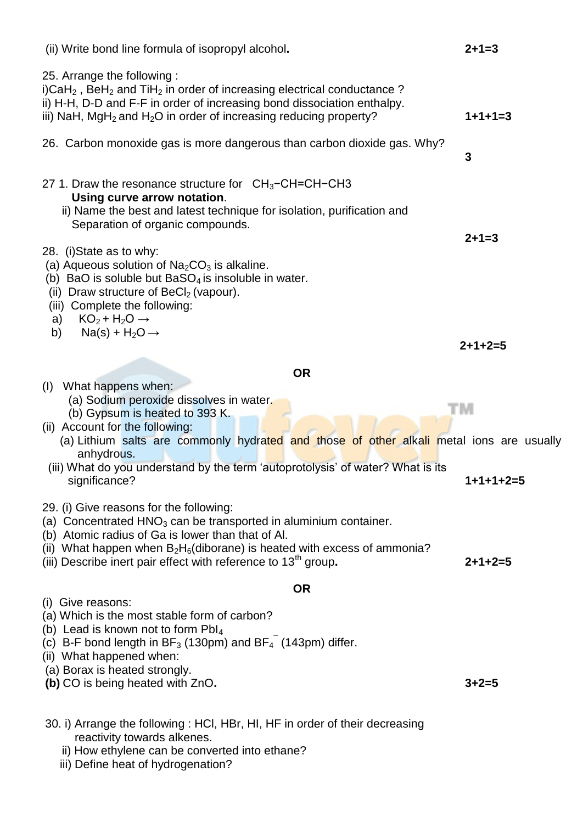| (ii) Write bond line formula of isopropyl alcohol.                                                                                                                                                                                                                                                                                                                                                                                                   | $2 + 1 = 3$     |
|------------------------------------------------------------------------------------------------------------------------------------------------------------------------------------------------------------------------------------------------------------------------------------------------------------------------------------------------------------------------------------------------------------------------------------------------------|-----------------|
| 25. Arrange the following:<br>i)CaH <sub>2</sub> , BeH <sub>2</sub> and TiH <sub>2</sub> in order of increasing electrical conductance?<br>ii) H-H, D-D and F-F in order of increasing bond dissociation enthalpy.<br>iii) NaH, MgH <sub>2</sub> and H <sub>2</sub> O in order of increasing reducing property?                                                                                                                                      | $1+1+1=3$       |
| 26. Carbon monoxide gas is more dangerous than carbon dioxide gas. Why?                                                                                                                                                                                                                                                                                                                                                                              | 3               |
| 27 1. Draw the resonance structure for $CH_3-CH=CH-CH3$<br>Using curve arrow notation.<br>ii) Name the best and latest technique for isolation, purification and<br>Separation of organic compounds.<br>28. (i) State as to why:<br>(a) Aqueous solution of $Na2CO3$ is alkaline.<br>(b) BaO is soluble but $BaSO4$ is insoluble in water.<br>(ii) Draw structure of $BeCl2$ (vapour).<br>(iii) Complete the following:<br>$KO_2 + H_2O \rightarrow$ | $2 + 1 = 3$     |
| a)<br>$Na(s) + H_2O \rightarrow$<br>b)                                                                                                                                                                                                                                                                                                                                                                                                               | $2 + 1 + 2 = 5$ |
| <b>OR</b>                                                                                                                                                                                                                                                                                                                                                                                                                                            |                 |
| (I) What happens when:<br>(a) Sodium peroxide dissolves in water.<br>(b) Gypsum is heated to 393 K.<br>(ii) Account for the following:<br>(a) Lithium salts are commonly hydrated and those of other alkali metal ions are usually<br>anhydrous.                                                                                                                                                                                                     | TΜ              |
| (iii) What do you understand by the term 'autoprotolysis' of water? What is its<br>significance?                                                                                                                                                                                                                                                                                                                                                     | $1+1+1+2=5$     |
| 29. (i) Give reasons for the following:<br>(a) Concentrated $HNO3$ can be transported in aluminium container.<br>(b) Atomic radius of Ga is lower than that of Al.<br>(ii) What happen when $B_2H_6$ (diborane) is heated with excess of ammonia?<br>(iii) Describe inert pair effect with reference to $13th$ group.                                                                                                                                | $2+1+2=5$       |
| <b>OR</b>                                                                                                                                                                                                                                                                                                                                                                                                                                            |                 |
| (i) Give reasons:<br>(a) Which is the most stable form of carbon?<br>(b) Lead is known not to form Pbl <sub>4</sub><br>(c) B-F bond length in $BF_3$ (130pm) and $BF_4$ (143pm) differ.<br>(ii) What happened when:<br>(a) Borax is heated strongly.<br>(b) CO is being heated with ZnO.                                                                                                                                                             | $3 + 2 = 5$     |
| 30. i) Arrange the following: HCI, HBr, HI, HF in order of their decreasing<br>reactivity towards alkenes.                                                                                                                                                                                                                                                                                                                                           |                 |

- ii) How ethylene can be converted into ethane?
	- iii) Define heat of hydrogenation?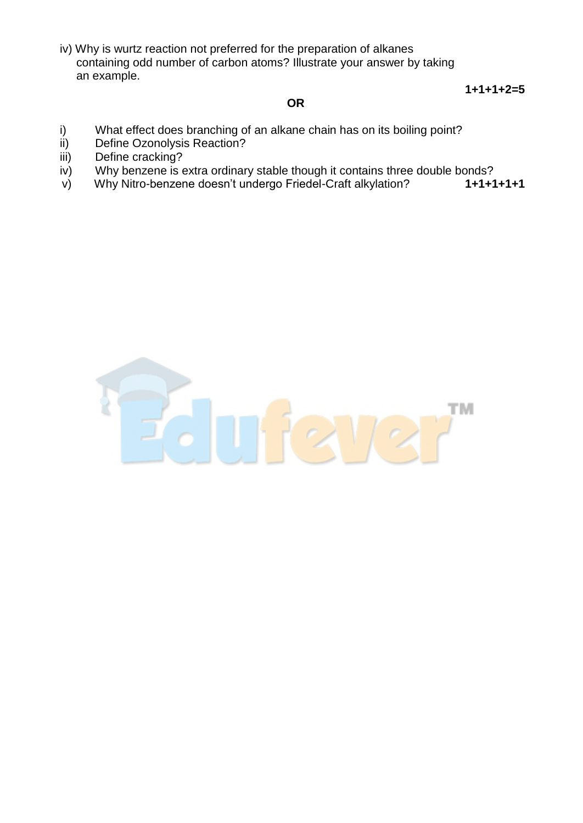iv) Why is wurtz reaction not preferred for the preparation of alkanes containing odd number of carbon atoms? Illustrate your answer by taking an example.

 **1+1+1+2=5**

#### *OR* OR

- i) What effect does branching of an alkane chain has on its boiling point?
- ii) Define Ozonolysis Reaction?
- iii) Define cracking?
- iv) Why benzene is extra ordinary stable though it contains three double bonds?
- v) Why Nitro-benzene doesn't undergo Friedel-Craft alkylation? **1+1+1+1+1**

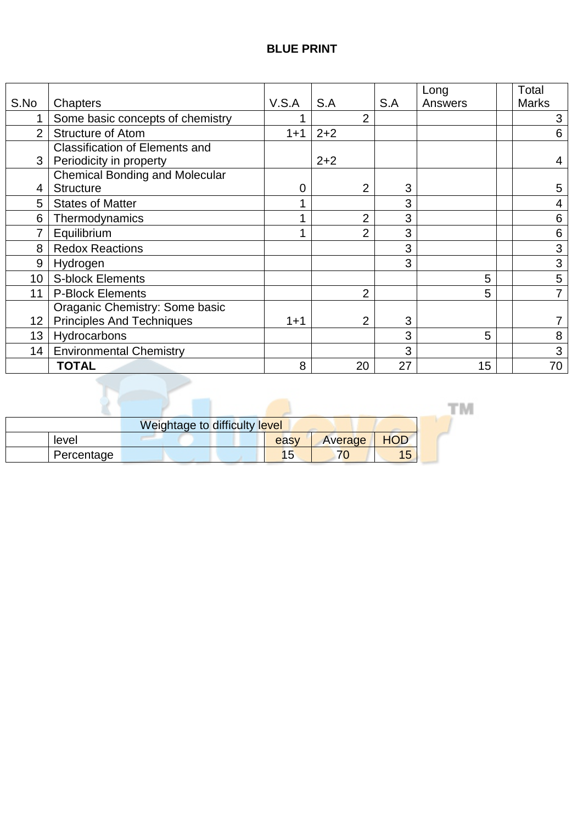|                 |                                       |          |         |                |     | Long    | Total          |
|-----------------|---------------------------------------|----------|---------|----------------|-----|---------|----------------|
| S.No            | Chapters                              | V.S.A    | S.A     |                | S.A | Answers | <b>Marks</b>   |
| 1               | Some basic concepts of chemistry      |          |         | $\overline{2}$ |     |         | 3              |
| $\overline{2}$  | <b>Structure of Atom</b>              | $1 + 1$  | $2 + 2$ |                |     |         | 6              |
|                 | Classification of Elements and        |          |         |                |     |         |                |
| 3               | Periodicity in property               |          | $2 + 2$ |                |     |         | 4              |
|                 | <b>Chemical Bonding and Molecular</b> |          |         |                |     |         |                |
| 4               | <b>Structure</b>                      | $\Omega$ |         | $\overline{2}$ | 3   |         | 5              |
| 5               | <b>States of Matter</b>               |          |         |                | 3   |         | 4              |
| 6               | Thermodynamics                        |          |         | $\overline{2}$ | 3   |         | 6              |
| 7               | Equilibrium                           |          |         | $\overline{2}$ | 3   |         | 6              |
| 8               | <b>Redox Reactions</b>                |          |         |                | 3   |         | 3              |
| 9               | Hydrogen                              |          |         |                | 3   |         | 3              |
| 10 <sup>1</sup> | <b>S-block Elements</b>               |          |         |                |     | 5       | 5              |
| 11              | <b>P-Block Elements</b>               |          |         | $\overline{2}$ |     | 5       | $\overline{7}$ |
|                 | Oraganic Chemistry: Some basic        |          |         |                |     |         |                |
| 12              | <b>Principles And Techniques</b>      | $1 + 1$  |         | $\overline{2}$ | 3   |         |                |
| 13              | Hydrocarbons                          |          |         |                | 3   | 5       | 8              |
| 14              | <b>Environmental Chemistry</b>        |          |         |                | 3   |         | 3              |
|                 | <b>TOTAL</b>                          | 8        |         | 20             | 27  | 15      | 70             |

|            |  | Weightage to difficulty level |      |         |            |  |
|------------|--|-------------------------------|------|---------|------------|--|
| level      |  |                               | easy | Average | <b>HOD</b> |  |
| Percentage |  |                               | כ' ו |         | 15         |  |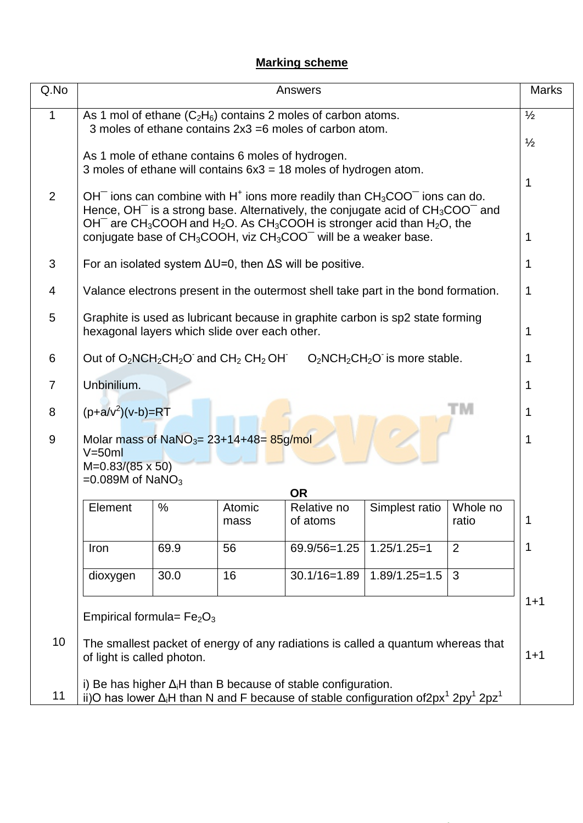# **Marking scheme**

| Q.No | Answers                                                                                                                                                                                                                                                                                                                                                                                                 |      |                                               |                                                                                   |                                 |                   |   |  |  |
|------|---------------------------------------------------------------------------------------------------------------------------------------------------------------------------------------------------------------------------------------------------------------------------------------------------------------------------------------------------------------------------------------------------------|------|-----------------------------------------------|-----------------------------------------------------------------------------------|---------------------------------|-------------------|---|--|--|
| 1    | $\frac{1}{2}$<br>As 1 mol of ethane $(C_2H_6)$ contains 2 moles of carbon atoms.<br>3 moles of ethane contains 2x3 =6 moles of carbon atom.                                                                                                                                                                                                                                                             |      |                                               |                                                                                   |                                 |                   |   |  |  |
|      | $\frac{1}{2}$<br>As 1 mole of ethane contains 6 moles of hydrogen.<br>3 moles of ethane will contains $6x3 = 18$ moles of hydrogen atom.                                                                                                                                                                                                                                                                |      |                                               |                                                                                   |                                 |                   |   |  |  |
| 2    | 1<br>$OH^-$ ions can combine with H <sup>+</sup> ions more readily than $CH_3COO^-$ ions can do.<br>Hence, $OH^-$ is a strong base. Alternatively, the conjugate acid of $CH_3COO^-$ and<br>OH <sup>-</sup> are CH <sub>3</sub> COOH and H <sub>2</sub> O. As CH <sub>3</sub> COOH is stronger acid than H <sub>2</sub> O, the<br>conjugate base of $CH_3COOH$ , viz $CH_3COO^-$ will be a weaker base. |      |                                               |                                                                                   |                                 |                   |   |  |  |
| 3    |                                                                                                                                                                                                                                                                                                                                                                                                         |      |                                               | For an isolated system $\Delta U = 0$ , then $\Delta S$ will be positive.         |                                 |                   |   |  |  |
| 4    |                                                                                                                                                                                                                                                                                                                                                                                                         |      |                                               | Valance electrons present in the outermost shell take part in the bond formation. |                                 |                   | 1 |  |  |
| 5    |                                                                                                                                                                                                                                                                                                                                                                                                         |      | hexagonal layers which slide over each other. | Graphite is used as lubricant because in graphite carbon is sp2 state forming     |                                 |                   | 1 |  |  |
| 6    |                                                                                                                                                                                                                                                                                                                                                                                                         |      | Out of $O_2NCH_2CH_2O$ and $CH_2 CH_2OH$      |                                                                                   | $O_2NCH_2CH_2O$ is more stable. |                   |   |  |  |
| 7    | Unbinilium.                                                                                                                                                                                                                                                                                                                                                                                             |      |                                               |                                                                                   |                                 |                   | 1 |  |  |
| 8    | $(p+a/v^2)(v-b)=RT$                                                                                                                                                                                                                                                                                                                                                                                     |      |                                               |                                                                                   |                                 | м                 | 1 |  |  |
| 9    | Molar mass of NaNO <sub>3</sub> = $23+14+48$ = $85g/mol$<br>$V = 50ml$                                                                                                                                                                                                                                                                                                                                  |      |                                               |                                                                                   |                                 |                   |   |  |  |
|      | $M=0.83/(85 \times 50)$<br>$=0.089M$ of NaNO <sub>3</sub><br><b>OR</b>                                                                                                                                                                                                                                                                                                                                  |      |                                               |                                                                                   |                                 |                   |   |  |  |
|      | Element                                                                                                                                                                                                                                                                                                                                                                                                 | %    | Atomic<br>mass                                | Relative no<br>of atoms                                                           | Simplest ratio                  | Whole no<br>ratio |   |  |  |
|      | Iron                                                                                                                                                                                                                                                                                                                                                                                                    | 69.9 | 56                                            | 69.9/56=1.25                                                                      | $1.25/1.25=1$                   | $\overline{2}$    | 1 |  |  |
|      | dioxygen                                                                                                                                                                                                                                                                                                                                                                                                | 30.0 | 16                                            | $30.1/16 = 1.89$                                                                  | $1.89/1.25 = 1.5$               | 3                 |   |  |  |
|      | $1 + 1$<br>Empirical formula= $Fe2O3$                                                                                                                                                                                                                                                                                                                                                                   |      |                                               |                                                                                   |                                 |                   |   |  |  |
| 10   | The smallest packet of energy of any radiations is called a quantum whereas that<br>$1 + 1$<br>of light is called photon.                                                                                                                                                                                                                                                                               |      |                                               |                                                                                   |                                 |                   |   |  |  |
| 11   | i) Be has higher $\Delta_i$ H than B because of stable configuration.<br>ii)O has lower $\Delta_i$ H than N and F because of stable configuration of 2px <sup>1</sup> 2py <sup>1</sup> 2pz <sup>1</sup>                                                                                                                                                                                                 |      |                                               |                                                                                   |                                 |                   |   |  |  |

NCERT BOOKS, Motivational Videos, Notes for All Classes and Many More...  $\mathcal{M}(\mathcal{M})$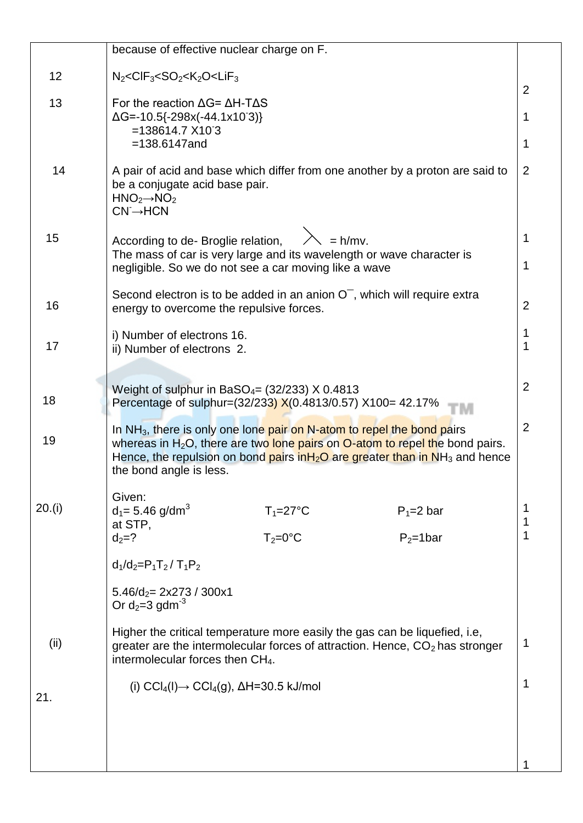|        | because of effective nuclear charge on F.                                                                                                                                                                                                                                                       |                |
|--------|-------------------------------------------------------------------------------------------------------------------------------------------------------------------------------------------------------------------------------------------------------------------------------------------------|----------------|
| 12     | $N_2 <$ CIF <sub>3</sub> <so<sub>2<k<sub>2O<lif<sub>3</lif<sub></k<sub></so<sub>                                                                                                                                                                                                                | $\overline{2}$ |
| 13     | For the reaction $\Delta G = \Delta H - T \Delta S$<br>$\Delta G$ =-10.5{-298x(-44.1x103)}                                                                                                                                                                                                      |                |
|        | $=138614.7$ X103<br>$=138.6147$ and                                                                                                                                                                                                                                                             | 1              |
| 14     | A pair of acid and base which differ from one another by a proton are said to<br>be a conjugate acid base pair.<br>$HNO2\rightarrow NO2$<br>$CN \rightarrow HCN$                                                                                                                                | $\overline{2}$ |
| 15     | $\lambda = h/mv$ .<br>According to de- Broglie relation,<br>The mass of car is very large and its wavelength or wave character is<br>negligible. So we do not see a car moving like a wave                                                                                                      | 1<br>1         |
| 16     | Second electron is to be added in an anion $O-$ , which will require extra<br>energy to overcome the repulsive forces.                                                                                                                                                                          | 2              |
| 17     | i) Number of electrons 16.<br>ii) Number of electrons 2.                                                                                                                                                                                                                                        | 1<br>1         |
| 18     | Weight of sulphur in BaSO <sub>4</sub> = $(32/233)$ X 0.4813<br>Percentage of sulphur=(32/233) X(0.4813/0.57) X100= 42.17%                                                                                                                                                                      | $\overline{2}$ |
| 19     | In $NH3$ , there is only one lone pair on $N$ -atom to repel the bond pairs<br>whereas in $H_2O$ , there are two lone pairs on $O$ -atom to repel the bond pairs.<br>Hence, the repulsion on bond pairs $\frac{inH2O}$ are greater than in NH <sub>3</sub> and hence<br>the bond angle is less. | $\overline{2}$ |
| 20.(i) | Given:<br>$d_1 = 5.46$ g/dm <sup>3</sup><br>$P_1 = 2$ bar<br>$T_1 = 27$ °C<br>at STP,                                                                                                                                                                                                           |                |
|        | $T_2 = 0$ °C<br>$P_2 = 1$ bar<br>$d_2 = ?$                                                                                                                                                                                                                                                      |                |
|        | $d_1/d_2 = P_1T_2/T_1P_2$                                                                                                                                                                                                                                                                       |                |
|        | $5.46/d2 = 2x273 / 300x1$<br>Or $d_2=3$ gdm <sup>-3</sup>                                                                                                                                                                                                                                       |                |
| (ii)   | Higher the critical temperature more easily the gas can be liquefied, i.e,<br>greater are the intermolecular forces of attraction. Hence, $CO2$ has stronger<br>intermolecular forces then CH <sub>4</sub> .                                                                                    | 1              |
| 21.    | (i) $\text{CCI}_4(I) \rightarrow \text{CCI}_4(g)$ , $\Delta H = 30.5$ kJ/mol                                                                                                                                                                                                                    | 1              |
|        |                                                                                                                                                                                                                                                                                                 |                |
|        |                                                                                                                                                                                                                                                                                                 |                |
|        |                                                                                                                                                                                                                                                                                                 |                |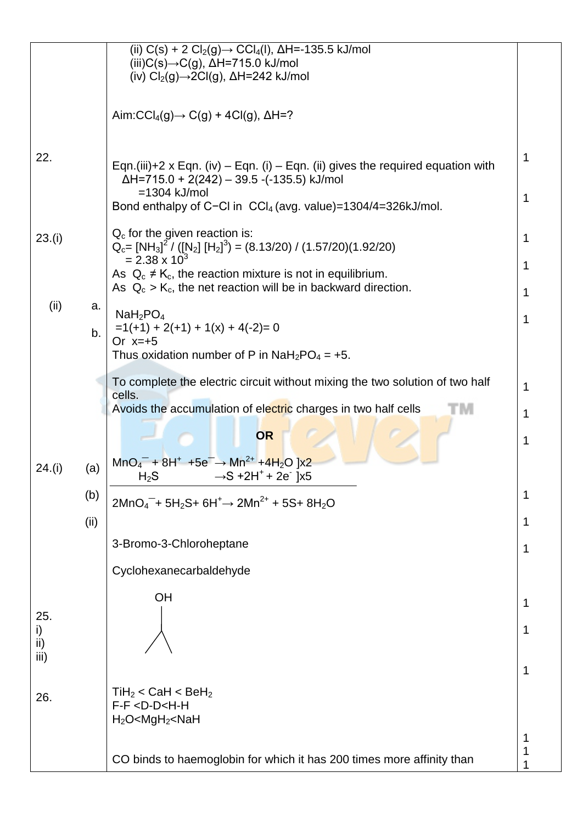|                   |      | (ii) C(s) + 2 Cl <sub>2</sub> (g)→ CCl <sub>4</sub> (l), $\Delta H$ =-135.5 kJ/mol<br>(iii) $C(s) \rightarrow C(g)$ , $\Delta H = 715.0$ kJ/mol                                                                                     |        |
|-------------------|------|-------------------------------------------------------------------------------------------------------------------------------------------------------------------------------------------------------------------------------------|--------|
|                   |      | (iv) $Cl_2(g) \rightarrow 2Cl(g)$ , $\Delta H = 242$ kJ/mol                                                                                                                                                                         |        |
|                   |      | Aim: $\text{CCI}_4(g) \rightarrow \text{C}(g) + 4\text{Cl}(g)$ , $\Delta H = ?$                                                                                                                                                     |        |
| 22.               |      | Eqn.(iii)+2 x Eqn. (iv) – Eqn. (i) – Eqn. (ii) gives the required equation with<br>$\Delta H$ =715.0 + 2(242) – 39.5 -(-135.5) kJ/mol<br>$=1304$ kJ/mol<br>Bond enthalpy of C-CI in CCI <sub>4</sub> (avg. value)=1304/4=326kJ/mol. | 1<br>1 |
|                   |      | $Q_c$ for the given reaction is:                                                                                                                                                                                                    |        |
| 23.(i)            |      | $Q_c = [NH_3]^2 / ([N_2] [H_2]^3) = (8.13/20) / (1.57/20)(1.92/20)$<br>$= 2.38 \times 10^{3}$                                                                                                                                       | 1      |
|                   |      | As $Q_c \neq K_c$ , the reaction mixture is not in equilibrium.<br>As $Q_c > K_c$ , the net reaction will be in backward direction.                                                                                                 | 1      |
| (ii)              | a.   | NaH <sub>2</sub> PO <sub>4</sub>                                                                                                                                                                                                    | 1      |
|                   | b.   | $=1(+1) + 2(+1) + 1(x) + 4(-2) = 0$                                                                                                                                                                                                 | 1      |
|                   |      | Or $x=+5$<br>Thus oxidation number of P in $Nah_2PO_4 = +5$ .                                                                                                                                                                       |        |
|                   |      | To complete the electric circuit without mixing the two solution of two half<br>cells.                                                                                                                                              | 1      |
|                   |      | Avoids the accumulation of electric charges in two half cells                                                                                                                                                                       | 1      |
|                   |      | <b>OR</b><br>$MnO4- + 8H+ + 5e- \rightarrow Mn2+ + 4H2O$ ]x2                                                                                                                                                                        | 1      |
| 24.(i)            | (a)  | $\rightarrow$ S +2H $^+$ + 2e ]x5<br>$H_2S$                                                                                                                                                                                         |        |
|                   | (b)  | $2MnO_4^-$ + 5H <sub>2</sub> S+ 6H <sup>+</sup> $\rightarrow$ 2Mn <sup>2+</sup> + 5S+ 8H <sub>2</sub> O                                                                                                                             | 1      |
|                   | (ii) | 3-Bromo-3-Chloroheptane                                                                                                                                                                                                             |        |
|                   |      |                                                                                                                                                                                                                                     | 1      |
|                   |      | Cyclohexanecarbaldehyde                                                                                                                                                                                                             |        |
| 25.               |      | OH                                                                                                                                                                                                                                  | 1      |
| i)<br>ii)<br>iii) |      |                                                                                                                                                                                                                                     | 1      |
|                   |      |                                                                                                                                                                                                                                     | 1      |
| 26.               |      | $TiH2 < CaH < BeH2$<br>F-F <d-d<h-h<br><math>H_2O &lt; MgH_2 &lt; NaH</math></d-d<h-h<br>                                                                                                                                           |        |
|                   |      |                                                                                                                                                                                                                                     |        |
|                   |      | CO binds to haemoglobin for which it has 200 times more affinity than                                                                                                                                                               |        |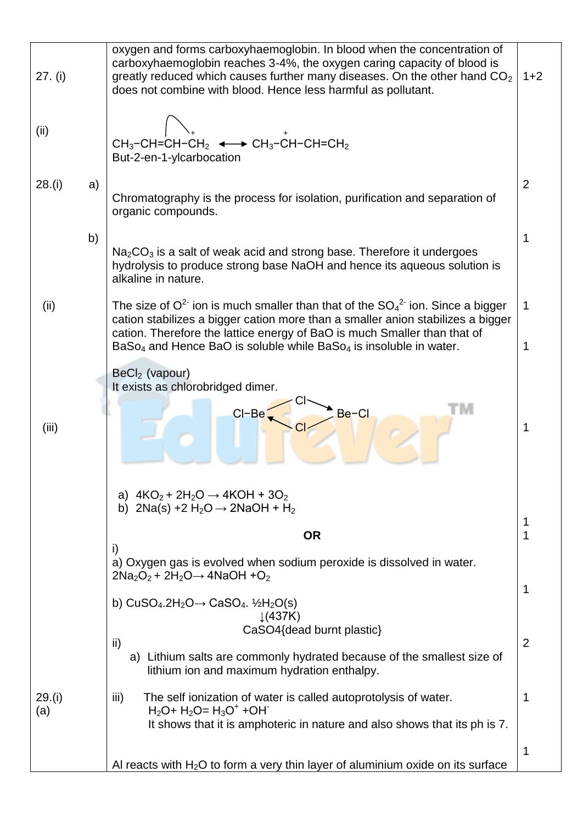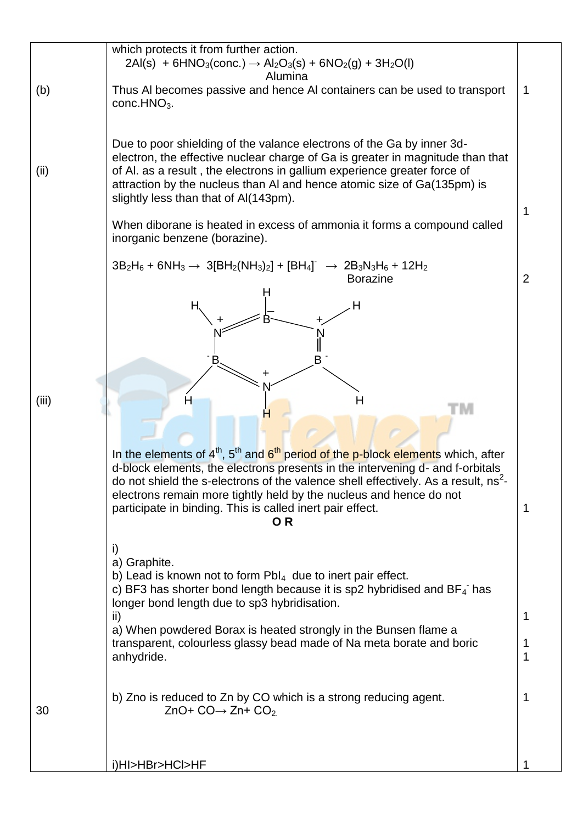